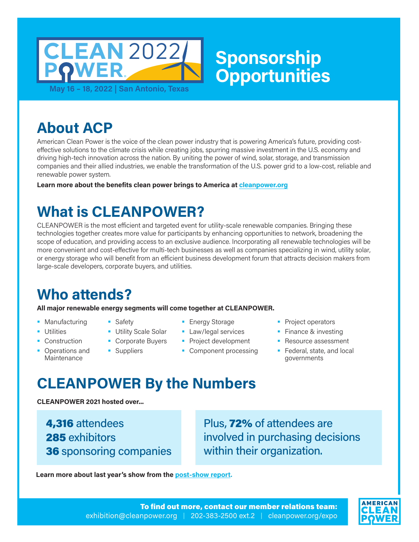

**About ACP**

American Clean Power is the voice of the clean power industry that is powering America's future, providing costeffective solutions to the climate crisis while creating jobs, spurring massive investment in the U.S. economy and driving high-tech innovation across the nation. By uniting the power of wind, solar, storage, and transmission companies and their allied industries, we enable the transformation of the U.S. power grid to a low-cost, reliable and renewable power system.

**Learn more about the benefits clean power brings to America at [cleanpower.org](https://cleanpower.org/)**

# **What is CLEANPOWER?**

**Safety** 

CLEANPOWER is the most efficient and targeted event for utility-scale renewable companies. Bringing these technologies together creates more value for participants by enhancing opportunities to network, broadening the scope of education, and providing access to an exclusive audience. Incorporating all renewable technologies will be more convenient and cost-effective for multi-tech businesses as well as companies specializing in wind, utility solar, or energy storage who will benefit from an efficient business development forum that attracts decision makers from large-scale developers, corporate buyers, and utilities.

# **Who attends?**

**All major renewable energy segments will come together at CLEANPOWER.**

- **Manufacturing**
- **Utilities**
- Construction
- **•** Operations and **Maintenance**
- **Energy Storage**
- **Utility Scale Solar Law/legal services**
- **Corporate Buyers Suppliers Project development** 
	- Component processing
- **Project operators**
- **Finance & investing**
- **Resource assessment**
- **Federal, state, and local** governments

# **CLEANPOWER By the Numbers**

**CLEANPOWER 2021 hosted over...**

4,316 attendees 285 exhibitors 36 sponsoring companies Plus, 72% of attendees are involved in purchasing decisions within their organization.

**Learn more about last year's show from the [post-show report.](https://cleanpower.org/expo/2021-stats/)** 

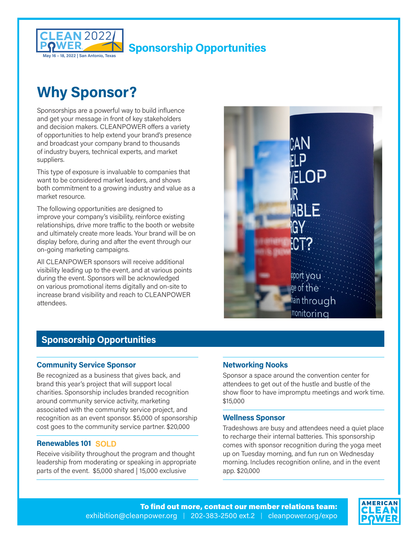

# **Why Sponsor?**

Sponsorships are a powerful way to build influence and get your message in front of key stakeholders and decision makers. CLEANPOWER offers a variety of opportunities to help extend your brand's presence and broadcast your company brand to thousands of industry buyers, technical experts, and market suppliers.

This type of exposure is invaluable to companies that want to be considered market leaders, and shows both commitment to a growing industry and value as a market resource.

The following opportunities are designed to improve your company's visibility, reinforce existing relationships, drive more traffic to the booth or website and ultimately create more leads. Your brand will be on display before, during and after the event through our on-going marketing campaigns.

All CLEANPOWER sponsors will receive additional visibility leading up to the event, and at various points during the event. Sponsors will be acknowledged on various promotional items digitally and on-site to increase brand visibility and reach to CLEANPOWER attendees.



### **Sponsorship Opportunities**

### **Community Service Sponsor**

Be recognized as a business that gives back, and brand this year's project that will support local charities. Sponsorship includes branded recognition around community service activity, marketing associated with the community service project, and recognition as an event sponsor. \$5,000 of sponsorship cost goes to the community service partner. \$20,000

### **Renewables 101 SOLD**

Receive visibility throughout the program and thought leadership from moderating or speaking in appropriate parts of the event. \$5,000 shared | 15,000 exclusive

### **Networking Nooks SOLD**

Sponsor a space around the convention center for attendees to get out of the hustle and bustle of the show floor to have impromptu meetings and work time. \$15,000

#### **Wellness Sponsor**

Tradeshows are busy and attendees need a quiet place to recharge their internal batteries. This sponsorship comes with sponsor recognition during the yoga meet up on Tuesday morning, and fun run on Wednesday morning. Includes recognition online, and in the event app. \$20,000

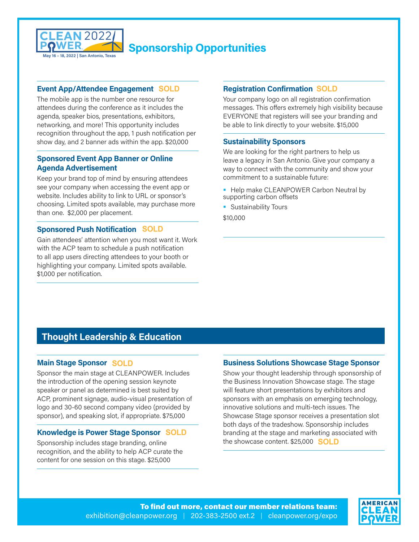

### **Event App/Attendee Engagement SOLD**

The mobile app is the number one resource for attendees during the conference as it includes the agenda, speaker bios, presentations, exhibitors, networking, and more! This opportunity includes recognition throughout the app, 1 push notification per show day, and 2 banner ads within the app. \$20,000

### **Sponsored Event App Banner or Online Agenda Advertisement 3 REMAIN**

Keep your brand top of mind by ensuring attendees see your company when accessing the event app or website. Includes ability to link to URL or sponsor's choosing. Limited spots available, may purchase more than one. \$2,000 per placement.

### **Sponsored Push Notification SOLD**

Gain attendees' attention when you most want it. Work with the ACP team to schedule a push notification to all app users directing attendees to your booth or highlighting your company. Limited spots available. \$1,000 per notification.

### **Registration Confirmation SOLD**

Your company logo on all registration confirmation messages. This offers extremely high visibility because EVERYONE that registers will see your branding and be able to link directly to your website. \$15,000

#### **Sustainability Sponsors**

We are looking for the right partners to help us leave a legacy in San Antonio. Give your company a way to connect with the community and show your commitment to a sustainable future:

- **Help make CLEANPOWER Carbon Neutral by** supporting carbon offsets
- **Sustainability Tours**

#### \$10,000

#### AN A IMA **)'M.A\*)
M)# Sponsors**

In recognition of ACP's new Energy Transition for All Initiative, this sponsorship will support the new networking lunch at CLEANPOWER. The lunch will provide an opportunity to foster discussion on this important issue as well as recognize those who have already made strides within the clean power industry with the presentation of our new awards. \$5,000 shared | \$25,000 exclusive

### **Thought Leadership & Education**

### **Main Stage Sponsor SOLD**

Sponsor the main stage at CLEANPOWER. Includes the introduction of the opening session keynote speaker or panel as determined is best suited by ACP, prominent signage, audio-visual presentation of logo and 30-60 second company video (provided by sponsor), and speaking slot, if appropriate. \$75,000

### **Knowledge is Power Stage Sponsor SOLD**

Sponsorship includes stage branding, online recognition, and the ability to help ACP curate the content for one session on this stage. \$25,000

### **Business Solutions Showcase Stage Sponsor**

Show your thought leadership through sponsorship of the Business Innovation Showcase stage. The stage will feature short presentations by exhibitors and sponsors with an emphasis on emerging technology, innovative solutions and multi-tech issues. The Showcase Stage sponsor receives a presentation slot both days of the tradeshow. Sponsorship includes branding at the stage and marketing associated with the showcase content. \$25,000 **SOLD**

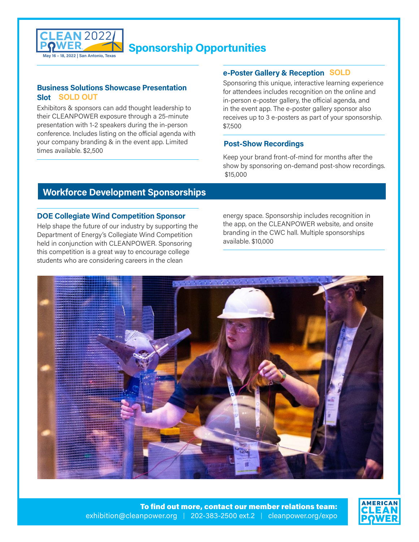

### **Business Solutions Showcase Presentation Slot SOLD OUT**

Exhibitors & sponsors can add thought leadership to their CLEANPOWER exposure through a 25-minute presentation with 1-2 speakers during the in-person conference. Includes listing on the official agenda with your company branding & in the event app. Limited times available. \$2,500

### **e-Poster Gallery & Reception SOLD**

Sponsoring this unique, interactive learning experience for attendees includes recognition on the online and in-person e-poster gallery, the official agenda, and in the event app. The e-poster gallery sponsor also receives up to 3 e-posters as part of your sponsorship. \$7,500

### **Post-Show Recordings**

Keep your brand front-of-mind for months after the show by sponsoring on-demand post-show recordings. \$15,000

### **Workforce Development Sponsorships**

### **DOE Collegiate Wind Competition Sponsor**

Help shape the future of our industry by supporting the Department of Energy's Collegiate Wind Competition held in conjunction with CLEANPOWER. Sponsoring this competition is a great way to encourage college students who are considering careers in the clean

energy space. Sponsorship includes recognition in the app, on the CLEANPOWER website, and onsite branding in the CWC hall. Multiple sponsorships available. \$10,000 **3 REMAIN**



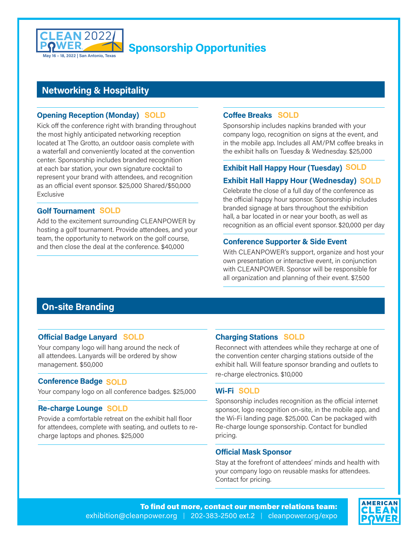

### **Networking & Hospitality**

### **Opening Reception (Monday) SOLD**

Kick off the conference right with branding throughout the most highly anticipated networking reception located at The Grotto, an outdoor oasis complete with a waterfall and conveniently located at the convention center. Sponsorship includes branded recognition at each bar station, your own signature cocktail to represent your brand with attendees, and recognition as an official event sponsor. \$25,000 Shared/\$50,000 Exclusive

### **Golf Tournament SOLD**

Add to the excitement surrounding CLEANPOWER by hosting a golf tournament. Provide attendees, and your team, the opportunity to network on the golf course, and then close the deal at the conference. \$40,000

### **Coffee Breaks SOLD**

Sponsorship includes napkins branded with your company logo, recognition on signs at the event, and in the mobile app. Includes all AM/PM coffee breaks in the exhibit halls on Tuesday & Wednesday. \$25,000

### **Exhibit Hall Happy Hour (Tuesday) SOLD**

### **Exhibit Hall Happy Hour (Wednesday) SOLD**

Celebrate the close of a full day of the conference as the official happy hour sponsor. Sponsorship includes branded signage at bars throughout the exhibition hall, a bar located in or near your booth, as well as recognition as an official event sponsor. \$20,000 per day

### **Conference Supporter & Side Event**

With CLEANPOWER's support, organize and host your own presentation or interactive event, in conjunction with CLEANPOWER. Sponsor will be responsible for all organization and planning of their event. \$7,500

### **On-site Branding**

### **Official Badge Lanyard SOLD**

Your company logo will hang around the neck of all attendees. Lanyards will be ordered by show management. \$50,000

### **Conference Badge SOLD**

Your company logo on all conference badges. \$25,000

### **Re-charge Lounge SOLD**

Provide a comfortable retreat on the exhibit hall floor for attendees, complete with seating, and outlets to recharge laptops and phones. \$25,000

### **Charging Stations SOLD**

Reconnect with attendees while they recharge at one of the convention center charging stations outside of the exhibit hall. Will feature sponsor branding and outlets to re-charge electronics. \$10,000

### **Wi-Fi SOLD**

Sponsorship includes recognition as the official internet sponsor, logo recognition on-site, in the mobile app, and the Wi-Fi landing page. \$25,000. Can be packaged with Re-charge lounge sponsorship. Contact for bundled pricing.